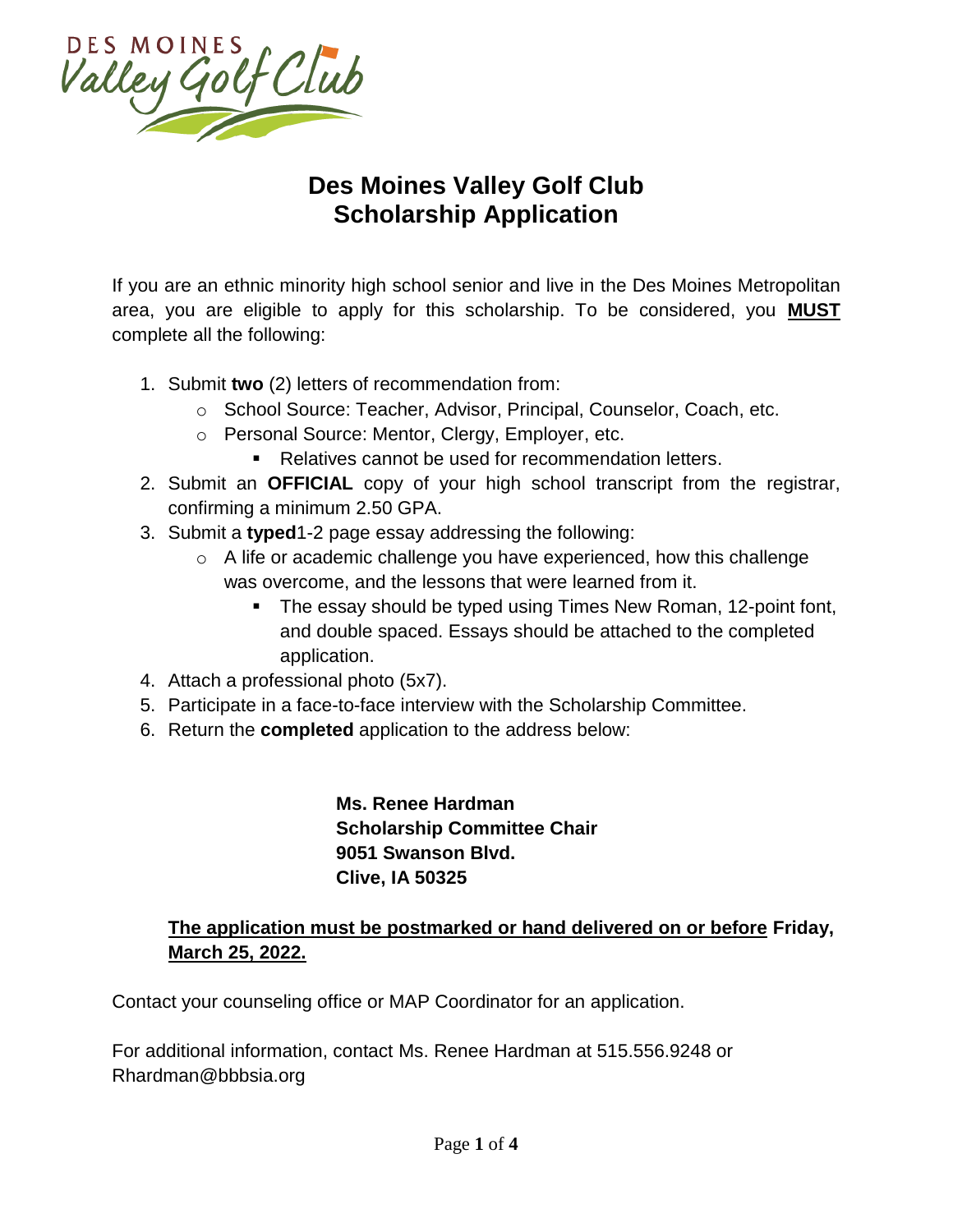

# **Des Moines Valley Golf Club Scholarship Application**

If you are an ethnic minority high school senior and live in the Des Moines Metropolitan area, you are eligible to apply for this scholarship. To be considered, you **MUST** complete all the following:

- 1. Submit **two** (2) letters of recommendation from:
	- o School Source: Teacher, Advisor, Principal, Counselor, Coach, etc.
	- o Personal Source: Mentor, Clergy, Employer, etc.
		- Relatives cannot be used for recommendation letters.
- 2. Submit an **OFFICIAL** copy of your high school transcript from the registrar, confirming a minimum 2.50 GPA.
- 3. Submit a **typed**1-2 page essay addressing the following:
	- o A life or academic challenge you have experienced, how this challenge was overcome, and the lessons that were learned from it.
		- The essay should be typed using Times New Roman, 12-point font, and double spaced. Essays should be attached to the completed application.
- 4. Attach a professional photo (5x7).
- 5. Participate in a face-to-face interview with the Scholarship Committee.
- 6. Return the **completed** application to the address below:

**Ms. Renee Hardman Scholarship Committee Chair 9051 Swanson Blvd. Clive, IA 50325**

### **The application must be postmarked or hand delivered on or before Friday, March 25, 2022.**

Contact your counseling office or MAP Coordinator for an application.

For additional information, contact Ms. Renee Hardman at 515.556.9248 or Rhardman@bbbsia.org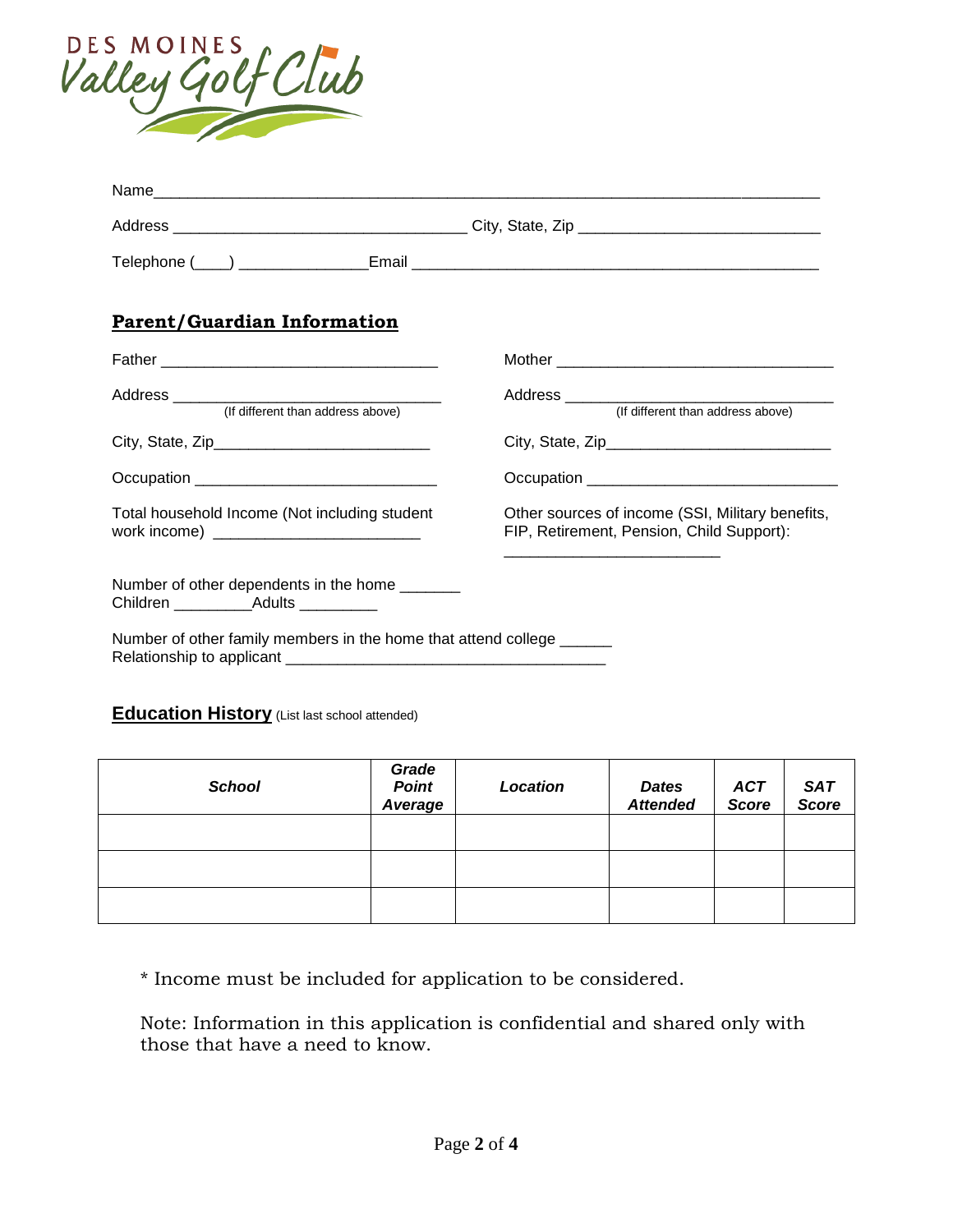

| <b>Parent/Guardian Information</b>                                                                  |                                                                                               |
|-----------------------------------------------------------------------------------------------------|-----------------------------------------------------------------------------------------------|
|                                                                                                     |                                                                                               |
| (If different than address above)                                                                   | (If different than address above)                                                             |
|                                                                                                     |                                                                                               |
|                                                                                                     |                                                                                               |
| Total household Income (Not including student                                                       | Other sources of income (SSI, Military benefits,<br>FIP, Retirement, Pension, Child Support): |
| Number of other dependents in the home ________<br>Children ___________________Adults _____________ |                                                                                               |
| Number of other family members in the home that attend college ______                               |                                                                                               |

### **Education History** (List last school attended)

| <b>School</b> | Grade<br><b>Point</b><br>Average | Location | <b>Dates</b><br><b>Attended</b> | <b>ACT</b><br><b>Score</b> | SAT<br>Score |
|---------------|----------------------------------|----------|---------------------------------|----------------------------|--------------|
|               |                                  |          |                                 |                            |              |
|               |                                  |          |                                 |                            |              |
|               |                                  |          |                                 |                            |              |

\* Income must be included for application to be considered.

Note: Information in this application is confidential and shared only with those that have a need to know.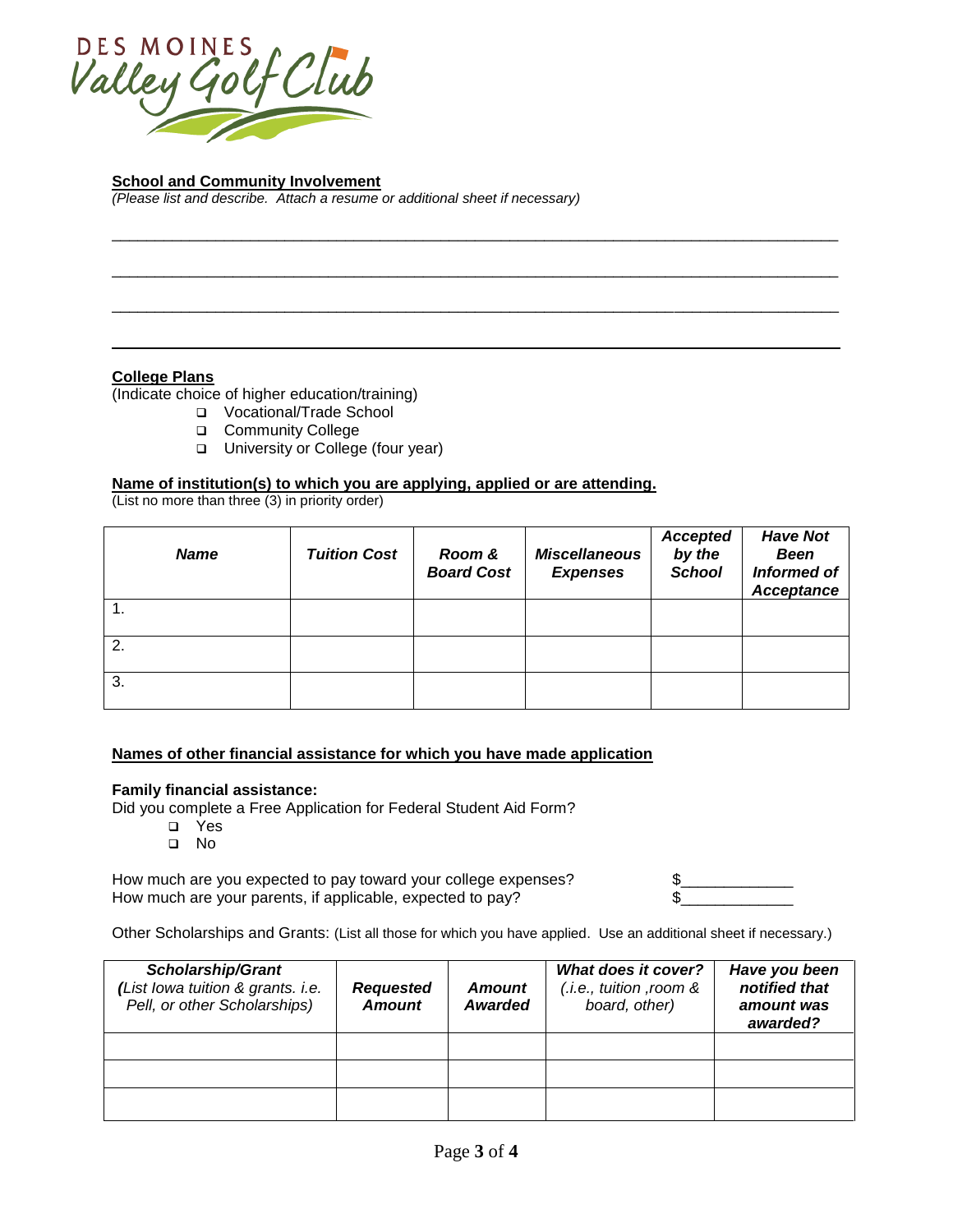

#### **School and Community Involvement**

*(Please list and describe. Attach a resume or additional sheet if necessary)*

#### **College Plans**

(Indicate choice of higher education/training)

- Vocational/Trade School
- **Community College**
- □ University or College (four year)

#### **Name of institution(s) to which you are applying, applied or are attending.**

(List no more than three (3) in priority order)

| <b>Name</b> | <b>Tuition Cost</b> | Room &<br><b>Board Cost</b> | <b>Miscellaneous</b><br><b>Expenses</b> | <b>Accepted</b><br>by the<br><b>School</b> | <b>Have Not</b><br><b>Been</b><br><b>Informed of</b><br>Acceptance |
|-------------|---------------------|-----------------------------|-----------------------------------------|--------------------------------------------|--------------------------------------------------------------------|
|             |                     |                             |                                         |                                            |                                                                    |
| 2.          |                     |                             |                                         |                                            |                                                                    |
| 3.          |                     |                             |                                         |                                            |                                                                    |

\_\_\_\_\_\_\_\_\_\_\_\_\_\_\_\_\_\_\_\_\_\_\_\_\_\_\_\_\_\_\_\_\_\_\_\_\_\_\_\_\_\_\_\_\_\_\_\_\_\_\_\_\_\_\_\_\_\_\_\_\_\_\_\_\_\_\_\_\_\_\_\_\_\_\_\_\_\_\_\_\_\_\_\_

\_\_\_\_\_\_\_\_\_\_\_\_\_\_\_\_\_\_\_\_\_\_\_\_\_\_\_\_\_\_\_\_\_\_\_\_\_\_\_\_\_\_\_\_\_\_\_\_\_\_\_\_\_\_\_\_\_\_\_\_\_\_\_\_\_\_\_\_\_\_\_\_\_\_\_\_\_\_\_\_\_\_\_\_

\_\_\_\_\_\_\_\_\_\_\_\_\_\_\_\_\_\_\_\_\_\_\_\_\_\_\_\_\_\_\_\_\_\_\_\_\_\_\_\_\_\_\_\_\_\_\_\_\_\_\_\_\_\_\_\_\_\_\_\_\_\_\_\_\_\_\_\_\_\_\_\_\_\_\_\_\_\_\_\_\_\_\_\_

#### **Names of other financial assistance for which you have made application**

#### **Family financial assistance:**

Did you complete a Free Application for Federal Student Aid Form?

- Yes
- No

How much are you expected to pay toward your college expenses? How much are your parents, if applicable, expected to pay?

| \$ |  |  |  |
|----|--|--|--|
| ፍ  |  |  |  |
|    |  |  |  |

Other Scholarships and Grants: (List all those for which you have applied. Use an additional sheet if necessary.)

| <b>Scholarship/Grant</b><br>(List lowa tuition & grants. i.e.<br>Pell, or other Scholarships) | <b>Requested</b><br><b>Amount</b> | Amount<br>Awarded | What does it cover?<br>$(i.e.,$ tuition , room $\&$<br>board, other) | Have you been<br>notified that<br>amount was<br>awarded? |
|-----------------------------------------------------------------------------------------------|-----------------------------------|-------------------|----------------------------------------------------------------------|----------------------------------------------------------|
|                                                                                               |                                   |                   |                                                                      |                                                          |
|                                                                                               |                                   |                   |                                                                      |                                                          |
|                                                                                               |                                   |                   |                                                                      |                                                          |